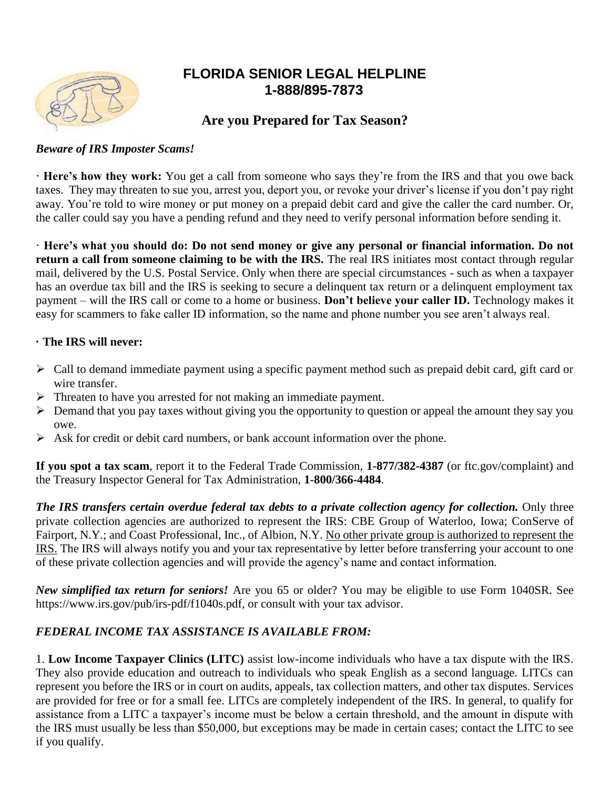

# **FLORIDA SENIOR LEGAL HELPLINE 1-888/895-7873**

## **Are you Prepared for Tax Season?**

#### *Beware of IRS Imposter Scams!*

**· Here's how they work:** You get a call from someone who says they're from the IRS and that you owe back taxes. They may threaten to sue you, arrest you, deport you, or revoke your driver's license if you don't pay right away. You're told to wire money or put money on a prepaid debit card and give the caller the card number. Or, the caller could say you have a pending refund and they need to verify personal information before sending it.

**· Here's what you should do: Do not send money or give any personal or financial information. Do not return a call from someone claiming to be with the IRS.** The real IRS initiates most contact through regular mail, delivered by the U.S. Postal Service. Only when there are special circumstances - such as when a taxpayer has an overdue tax bill and the IRS is seeking to secure a delinquent tax return or a delinquent employment tax payment – will the IRS call or come to a home or business. **Don't believe your caller ID.** Technology makes it easy for scammers to fake caller ID information, so the name and phone number you see aren't always real.

#### **· The IRS will never:**

- $\triangleright$  Call to demand immediate payment using a specific payment method such as prepaid debit card, gift card or wire transfer.
- $\triangleright$  Threaten to have you arrested for not making an immediate payment.
- $\triangleright$  Demand that you pay taxes without giving you the opportunity to question or appeal the amount they say you owe.
- $\triangleright$  Ask for credit or debit card numbers, or bank account information over the phone.

**If you spot a tax scam**, report it to the Federal Trade Commission, **1-877/382-4387** (or ftc.gov/complaint) and the Treasury Inspector General for Tax Administration, **1-800/366-4484**.

*The IRS transfers certain overdue federal tax debts to a private collection agency for collection.* Only three private collection agencies are authorized to represent the IRS: CBE Group of Waterloo, Iowa; ConServe of Fairport, N.Y.; and Coast Professional, Inc., of Albion, N.Y. No other private group is authorized to represent the IRS. The IRS will always notify you and your tax representative by letter before transferring your account to one of these private collection agencies and will provide the agency's name and contact information.

*New simplified tax return for seniors!* Are you 65 or older? You may be eligible to use Form 1040SR. See https://www.irs.gov/pub/irs-pdf/f1040s.pdf, or consult with your tax advisor.

### *FEDERAL INCOME TAX ASSISTANCE IS AVAILABLE FROM:*

1. **Low Income Taxpayer Clinics (LITC)** assist low-income individuals who have a tax dispute with the IRS. They also provide education and outreach to individuals who speak English as a second language. LITCs can represent you before the IRS or in court on audits, appeals, tax collection matters, and other tax disputes. Services are provided for free or for a small fee. LITCs are completely independent of the IRS. In general, to qualify for assistance from a LITC a taxpayer's income must be below a certain threshold, and the amount in dispute with the IRS must usually be less than \$50,000, but exceptions may be made in certain cases; contact the LITC to see if you qualify.